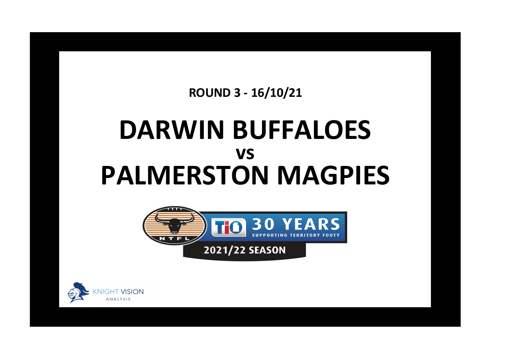**ROUND 3 - 16/10/21**

## **DARWIN BUFFALOES PALMERSTON MAGPIES vs**



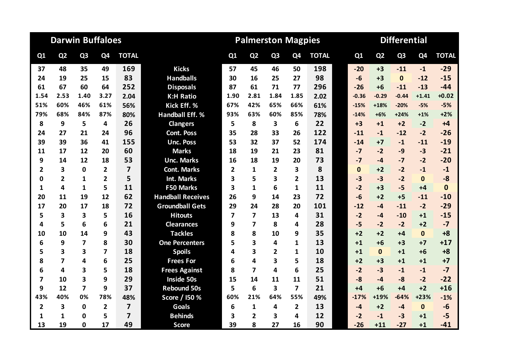|                         | <b>Darwin Buffaloes</b> |                         |                |                         |                          |                | <b>Palmerston Magpies</b> |                |                         |              | <b>Differential</b> |              |                |                |              |              |
|-------------------------|-------------------------|-------------------------|----------------|-------------------------|--------------------------|----------------|---------------------------|----------------|-------------------------|--------------|---------------------|--------------|----------------|----------------|--------------|--------------|
| Q1                      | Q <sub>2</sub>          | Q <sub>3</sub>          | Q4             | <b>TOTAL</b>            |                          | Q1             | Q <sub>2</sub>            | Q <sub>3</sub> | Q4                      | <b>TOTAL</b> |                     | Q1           | Q <sub>2</sub> | Q <sub>3</sub> | Q4           | <b>TOTAL</b> |
| 37                      | 48                      | 35                      | 49             | 169                     | <b>Kicks</b>             | 57             | 45                        | 46             | 50                      | 198          |                     | $-20$        | $+3$           | $-11$          | $-1$         | $-29$        |
| 24                      | 19                      | 25                      | 15             | 83                      | <b>Handballs</b>         | 30             | 16                        | 25             | 27                      | 98           |                     | $-6$         | $+3$           | $\mathbf{0}$   | $-12$        | $-15$        |
| 61                      | 67                      | 60                      | 64             | 252                     | <b>Disposals</b>         | 87             | 61                        | 71             | 77                      | 296          |                     | $-26$        | $+6$           | $-11$          | $-13$        | $-44$        |
| 1.54                    | 2.53                    | 1.40                    | 3.27           | 2.04                    | <b>K:H Ratio</b>         | 1.90           | 2.81                      | 1.84           | 1.85                    | 2.02         |                     | $-0.36$      | $-0.29$        | $-0.44$        | $+1.41$      | $+0.02$      |
| 51%                     | 60%                     | 46%                     | 61%            | 56%                     | Kick Eff. %              | 67%            | 42%                       | 65%            | 66%                     | 61%          |                     | $-15%$       | $+18%$         | $-20%$         | $-5%$        | $-5%$        |
| 79%                     | 68%                     | 84%                     | 87%            | 80%                     | <b>Handball Eff. %</b>   | 93%            | 63%                       | 60%            | 85%                     | 78%          |                     | $-14%$       | $+6%$          | $+24%$         | $+1%$        | $+2%$        |
| 8                       | 9                       | 5                       | 4              | 26                      | <b>Clangers</b>          | 5              | 8                         | 3              | 6                       | 22           |                     | $+3$         | $+1$           | $+2$           | $-2$         | $+4$         |
| 24                      | 27                      | 21                      | 24             | 96                      | <b>Cont. Poss</b>        | 35             | 28                        | 33             | 26                      | 122          |                     | $-11$        | $-1$           | $-12$          | $-2$         | $-26$        |
| 39                      | 39                      | 36                      | 41             | 155                     | <b>Unc. Poss</b>         | 53             | 32                        | 37             | 52                      | 174          |                     | $-14$        | $+7$           | $-1$           | $-11$        | $-19$        |
| 11                      | 17                      | 12                      | 20             | 60                      | <b>Marks</b>             | 18             | 19                        | 21             | 23                      | 81           |                     | $-7$         | $-2$           | $-9$           | $-3$         | $-21$        |
| 9                       | 14                      | 12                      | 18             | 53                      | <b>Unc. Marks</b>        | 16             | 18                        | 19             | 20                      | 73           |                     | $-7$         | $-4$           | $-7$           | $-2$         | $-20$        |
| 2                       | 3                       | $\mathbf 0$             | $\overline{2}$ | $\overline{\mathbf{z}}$ | <b>Cont. Marks</b>       | $\overline{2}$ | 1                         | 2              | 3                       | 8            |                     | $\mathbf{0}$ | $+2$           | $-2$           | $-1$         | $-1$         |
| 0                       | $\overline{2}$          | $\mathbf{1}$            | $\overline{2}$ | 5                       | Int. Marks               | 3              | 5                         | 3              | $\overline{2}$          | 13           |                     | $-3$         | $-3$           | $-2$           | $\mathbf{0}$ | $-8$         |
| 1                       | 4                       | $\mathbf{1}$            | 5              | 11                      | <b>F50 Marks</b>         | 3              | $\mathbf{1}$              | 6              | 1                       | 11           |                     | $-2$         | $+3$           | $-5$           | $+4$         | $\mathbf{0}$ |
| 20                      | 11                      | 19                      | 12             | 62                      | <b>Handball Receives</b> | 26             | 9                         | 14             | 23                      | 72           |                     | $-6$         | $+2$           | $+5$           | $-11$        | $-10$        |
| 17                      | 20                      | 17                      | 18             | 72                      | <b>Groundball Gets</b>   | 29             | 24                        | 28             | 20                      | 101          |                     | $-12$        | $-4$           | $-11$          | $-2$         | $-29$        |
| 5                       | 3                       | 3                       | 5              | 16                      | <b>Hitouts</b>           | $\overline{7}$ | 7                         | 13             | 4                       | 31           |                     | $-2$         | -4             | $-10$          | $+1$         | $-15$        |
| 4                       | 5                       | 6                       | 6              | 21                      | <b>Clearances</b>        | 9              | 7                         | 8              | 4                       | 28           |                     | $-5$         | $-2$           | $-2$           | $+2$         | $-7$         |
| 10                      | 10                      | 14                      | 9              | 43                      | <b>Tackles</b>           | 8              | 8                         | 10             | 9                       | 35           |                     | $+2$         | $+2$           | $+4$           | $\mathbf{0}$ | $+8$         |
| 6                       | 9                       | 7                       | 8              | 30                      | <b>One Percenters</b>    | 5              | 3                         | 4              | $\mathbf{1}$            | 13           |                     | $+1$         | $+6$           | $+3$           | $+7$         | $+17$        |
| 5                       | 3                       | $\overline{\mathbf{3}}$ | 7              | 18                      | <b>Spoils</b>            | 4              | 3                         | $\overline{2}$ | 1                       | 10           |                     | $+1$         | $\mathbf{0}$   | $+1$           | $+6$         | $+8$         |
| 8                       | $\overline{\mathbf{z}}$ | 4                       | 6              | 25                      | <b>Frees For</b>         | 6              | 4                         | 3              | 5                       | 18           |                     | $+2$         | $+3$           | $+1$           | $+1$         | $+7$         |
| 6                       | 4                       | 3                       | 5              | 18                      | <b>Frees Against</b>     | 8              | $\overline{7}$            | 4              | 6                       | 25           |                     | $-2$         | $-3$           | $-1$           | $-1$         | $-7$         |
| 7                       | 10                      | 3                       | 9              | 29                      | <b>Inside 50s</b>        | 15             | 14                        | 11             | 11                      | 51           |                     | $-8$         | $-4$           | $-8$           | $-2$         | $-22$        |
| 9                       | 12                      | $\overline{\mathbf{z}}$ | 9              | 37                      | <b>Rebound 50s</b>       | 5              | 6                         | 3              | $\overline{\mathbf{z}}$ | 21           |                     | $+4$         | $+6$           | $+4$           | $+2$         | $+16$        |
| 43%                     | 40%                     | 0%                      | 78%            | 48%                     | Score / I50 %            | 60%            | 21%                       | 64%            | 55%                     | 49%          |                     | $-17%$       | +19%           | $-64%$         | $+23%$       | $-1%$        |
| $\overline{\mathbf{2}}$ | 3                       | $\mathbf 0$             | $\overline{2}$ | $\overline{\mathbf{z}}$ | <b>Goals</b>             | 6              | $\mathbf{1}$              | 4              | $\overline{2}$          | 13           |                     | $-4$         | $+2$           | $-4$           | $\mathbf 0$  | $-6$         |
| 1                       | 1                       | 0                       | 5              | $\overline{7}$          | <b>Behinds</b>           | 3              | $\overline{2}$            | 3              | 4                       | 12           |                     | $-2$         | $-1$           | $-3$           | $+1$         | $-5$         |
| 13                      | 19                      | 0                       | 17             | 49                      | <b>Score</b>             | 39             | 8                         | 27             | 16                      | 90           |                     | $-26$        | $+11$          | $-27$          | $+1$         | $-41$        |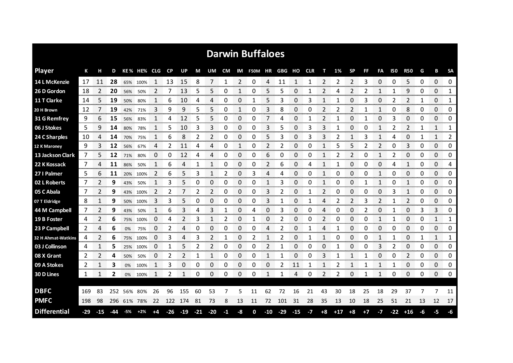| <b>Darwin Buffaloes</b> |       |       |     |     |             |                |           |         |                |                |      |                       |                |       |                |       |            |                |       |           |      |              |       |              |    |              |                |
|-------------------------|-------|-------|-----|-----|-------------|----------------|-----------|---------|----------------|----------------|------|-----------------------|----------------|-------|----------------|-------|------------|----------------|-------|-----------|------|--------------|-------|--------------|----|--------------|----------------|
| <b>Player</b>           | К     |       | D   |     | KE% HE% CLG |                | <b>CP</b> | UP      | М              | UM             | CM   |                       | IM F50M HR GBG |       |                | но    | <b>CLR</b> | т              | 1%    | <b>SP</b> | FF   | FA           | 150   | <b>R50</b>   | G  | В            | <b>SA</b>      |
| 14 L McKenzie           | 17    | 11    | 28  |     | 65% 100%    | -1             | 13        | 15      | 8              | 7              | 1    | 2                     | 0              | 4     | 11             | 1     | 1          | 2              | 2     | 2         | 3    | 0            | 0     | 5            | 0  | 0            | 0              |
| 26 D Gordon             | 18    | 2     | 20  | 56% | 50%         | 2              | 7         | 13      | 5              | 5              | 0    | 1                     | 0              | 5     | 5              | 0     | 1          | 2              | 4     | 2         | 2    | 1            | 1     | 9            | 0  | 0            | 1              |
| 11 T Clarke             | 14    | 5     | 19  | 50% | 80%         | 1              | 6         | 10      | 4              | 4              | 0    | 0                     | 1              | 5     | 3              | 0     | 3          | 1              | 1     | 0         | 3    | 0            | 2     | 2            | 1  | 0            | $\mathbf{1}$   |
| 20 H Brown              | 12    | 7     | 19  | 42% | 71%         | 3              | 9         | 9       | 5              | 5              | 0    | 1                     | 0              | 3     | 8              | 0     | 0          | 2              | 2     | 2         | 1    | 1            | 0     | 8            | 0  | 0            | 0              |
| 31 G Remfrey            | 9     | 6     | 15  | 56% | 83%         | $\mathbf{1}$   | 4         | 12      | 5              | 5              | 0    | 0                     | 0              | 7     | 4              | 0     | 1          | 2              | 1     | 0         | 1    | 0            | 3     | 0            | 0  | 0            | 0              |
| 06 J Stokes             | 5.    | 9     | 14  | 80% | 78%         | 1              | 5         | 10      | 3              | 3              | 0    | 0                     | 0              | 3     | 5.             | 0     | 3          | 3              | 1     | 0         | 0    | $\mathbf{1}$ | 2     | 2            | 1  | $\mathbf{1}$ | 1              |
| 24 C Sharples           | 10    | 4     | 14  | 70% | 75%         | $\mathbf{1}$   | 6         | 8       | 2              | 2              | 0    | 0                     | 0              | 5     | 3              | 0     | 3          | 3              | 2     | 1         | 3    | 1            | 4     | 0            | 1  | $\mathbf{1}$ | $\mathbf{2}$   |
| 12 K Maroney            | 9     | 3     | 12  | 56% | 67%         | 4              | 2         | 11      | 4              | 4              | 0    | 1                     | 0              | 2     | 2              | 0     | 0          | 1              | 5     | 5         | 2    | 2            | 0     | 3            | 0  | 0            | 0              |
| 13 Jackson Clark        | 7     | 5     | 12  | 71% | 80%         | 0              | 0         | 12      | 4              | 4              | 0    | 0                     | 0              | 6     | 0              | 0     | 0          | 1              | 2     | 2         | 0    | $\mathbf{1}$ | 2     | 0            | 0  | 0            | 0              |
| 22 K Kossack            | 7     | 4     | 11  | 86% | 50%         | 1              | 6         | 4       | 1              | 1              | 0    | 0                     | 0              | 2     | 6              | 0     | 4          | 1              | 1     | 0         | 0    | 0            | 4     | 1            | 0  | 0            | 4              |
| 27 I Palmer             | 5     | 6     | 11  | 20% | 100%        | 2              | 6         | 5       | 3              | 1              | 2    | 0                     | 3              | 4     | 4              | 0     | 0          | 1              | 0     | 0         | 0    | 1            | 0     | 0            | 0  | 0            | 0              |
| 02 L Roberts            | 7     | 2     | 9   | 43% | 50%         | 1              | 3         | 5       | 0              | 0              | 0    | 0                     | 0              | 1     | 3              | 0     | 0          | 1              | 0     | 0         | 1    | 1            | 0     | 1            | 0  | 0            | 0              |
| 05 C Abala              | 7     | 2     | 9   |     | 43% 100%    | $\overline{2}$ | 2         |         | $\overline{2}$ | $\overline{2}$ | 0    | $\Omega$              | 0              | 3     | $\overline{2}$ | 0     | 1          | $\overline{2}$ | 0     | 0         | 0    | 0            | 3     | $\mathbf{1}$ | 0  | $\Omega$     | 0              |
| 07 T Eldridge           | 8     |       | 9   | 50% | 100%        | 3              | 3         | 5       | 0              | 0              | 0    | 0                     | 0              | 3     |                | 0     |            | 4              | 2     | 2         | 3    | 2            | 1     | 2            | 0  | 0            | 0              |
| 44 M Campbell           | 7     |       | 9   | 43% | 50%         |                | 6         | З       | 4              | 3              |      | 0                     | 4              | 0     | 3              | 0     | Ω          |                |       | O         |      | 0            |       | 0            | 3  | 3            | 0              |
| 19 B Foster             | 4     |       | 6   | 75% | 100%        | $\Box$         | 4         |         | 3              |                | 2    | 0                     | 1              | 0     | 2              | 0     | O          | 2              | O     | 0         | O    |              | 1     | 0            | 0  |              | 1              |
| 23 P Campbell           | 2     | 4     | 6   | 0%  | 75%         | 0              | 2         | 4       | 0              | 0              | 0    | 0                     | 0              | 4     | 2              | 0     |            | 4              |       | 0         | 0    | 0            | 0     | 0            | 0  | 0            | 0              |
| 32 H Ahmat-Watkins      | 4     |       | 6   | 75% | 100%        | 0              | 3         | 4       | 3              |                |      | 0                     | 2              | 1     | 2              | 0     |            |                | 0     | 0         | Ω    |              | 1     | 0            |    | 1            | 1              |
| 03 J Collinson          | 4     |       | 5   |     | 25% 100%    | 0              |           |         | 2              |                | 0    | 0                     | 0              | 2     |                | 0     | 0          | 0              |       | 0         | 0    | 3            | 2     | 0            | 0  | 0            | 0              |
| 08 X Grant              | 2     |       | 4   | 50% | 50%         | 0              | 2         | 2       | 1              | 1              | 0    | 0<br><b>SOUTH THE</b> | 0              | 1     |                | 0     | 0          | 3              |       |           |      | 0            | 0     | 2            | 0  | 0            | 0<br>vonnonnor |
| 09 A Stokes             | 2     |       | 3   | 0%  | 100%        |                | 3         | 0       | 0              | 0              | 0    | 0                     | 0              | 0     | 2              | 11    |            |                | 2     |           |      |              |       | 0            | 0  | 0            | 0              |
| 30 D Lines              | 1     |       | 2   | 0%  | 100%        | 1              | 2         |         | 0              | 0              | 0    | 0                     | 0              | 1     | 1              | 4     | 0          | 2              | 2     | 0         |      | 1            | 0     | 0            | 0  | 0            | 0              |
| <b>DBFC</b>             | 169   | 83    | 252 | 56% | 80%         | 26             | 96        | 155     | 60             | 53             | 7    | 5                     | 11             | 62    | 72             | 16    | 21         | 43             | 30    | 18        | 25   | 18           | 29    | 37           |    |              | 11             |
| <b>PMFC</b>             | 198   | 98    | 296 |     | 61% 78%     | 22             |           | 122 174 | 81             | 73             | 8    | 13                    | 11             | 72    | 101            | 31    | 28         | 35             | 13    | 10        | 18   | 25           | 51    | 21           | 13 | 12           | 17             |
| <b>Differential</b>     | $-29$ | $-15$ | -44 | -5% | $+2%$       | +4             | $-26$     | $-19$   | $-21$          | $-20$          | $-1$ | -8                    | 0              | $-10$ | $-29$          | $-15$ | $-7$       | $+8$           | $+17$ | $+8$      | $+7$ | $-7$         | $-22$ | $+16$        | -6 | -5           | -6             |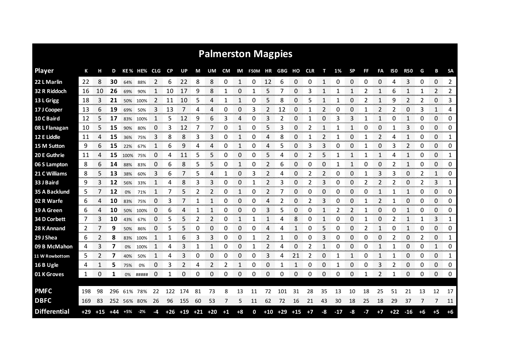| <b>Palmerston Magpies</b> |       |       |       |             |          |            |     |                              |    |    |           |      |                   |    |           |       |            |    |       |           |      |              |           |              |      |              |               |
|---------------------------|-------|-------|-------|-------------|----------|------------|-----|------------------------------|----|----|-----------|------|-------------------|----|-----------|-------|------------|----|-------|-----------|------|--------------|-----------|--------------|------|--------------|---------------|
| <b>Player</b>             | К     | н     | D     |             | KE% HE%  | <b>CLG</b> | CP  | UP                           | М  | UM | <b>CM</b> |      | IM F50M HR GBG HO |    |           |       | <b>CLR</b> | т  | 1%    | <b>SP</b> | FF   | FA           | 150       | <b>R50</b>   | G    | в            | <b>SA</b>     |
| 22 L Marlin               | 22    | 8     | 30    | 64%         | 88%      | 2          | 6   | 22                           | 8  | 8  | 0         | 1    | 0                 | 12 | 6         | 0     | 0          | 1  | 0     | 0         | 0    | 0            | Δ         | 3            | 0    | 0            | 2             |
| 32 R Riddoch              | 16    | 10    | 26    | 69%         | 90%      | 1          | 10  | 17                           | 9  | 8  | 1         | 0    | 1                 | 5  | 7         | 0     | 3          | 1  | 1     | 1         | 2    | 1            | 6         | 1            | 1    | 2            | $\mathbf{2}$  |
| 13 L Grigg                | 18    | 3     | 21    | 50%         | 100%     |            | 11  | 10                           | 5  | 4  | 1         | 1    | 0                 | 5  | 8         | 0     | 5          | 1  |       | 0         |      | 1            | q         | 2            | 2    | 0            | 3             |
| 17 J Cooper               | 13    | 6     | 19    | 69%         | 50%      | 3          | 13  | 7                            | 4  | 4  | 0         | 0    | 3                 | 2  | 12        | 0     | 1          | 2  | 0     | 0         | 1    | 2            | 2         | 0            | 3    | $\mathbf{1}$ | 4             |
| 10 C Baird                | 12    | 5     | 17    |             | 83% 100% | 1          | 5   | 12                           | 9  | 6  | 3         | 4    | 0                 | 3  | 2         | 0     | 1          | 0  | 3     | 3         | 1    | 1            | 0         | 1            | 0    | 0            | 0             |
| 08 L Flanagan             | 10    | 5     | 15    | 90%         | 80%      | 0          | 3   | 12                           | 7  | 7  | 0         | 1    | 0                 | 5  | 3         | 0     | 2          | 1  | 1     | 1         | 0    | 0            | 1         | 3            | 0    | 0            | 0             |
| 12 E Liddle               | 11    | 4     | 15    | 36%         | 75%      | 3          | 8   | 8                            | 3  | 3  | 0         | 1    | 0                 | 4  | 8         | 0     |            |    |       | 0         |      | 2            | 4         | 1            | 0    | 0            | 1             |
| 15 M Sutton               | 9     | 6     | 15    | 22%         | 67%      | 1          | 6   | 9                            | 4  | 4  | 0         | 1    | 0                 | 4  | 5         | 0     | 3          | 3  | 0     | 0         | 1    | 0            | 3         | 2            | 0    | 0            | 0             |
| 20 E Guthrie              | 11    | 4     | 15    | 100%        | 75%      | 0          | 4   | 11                           | 5  | 5  | 0         | 0    | 0                 | 5  | 4         | 0     | 2          | 5  |       | 1         | 1    | $\mathbf{1}$ | 4         | 1            | 0    | 0            | 1             |
| 06 S Lampton              | 8     | 6     | 14    | 88%         | 83%      | 0          | 6   | 8                            | 5  | 5  | 0         | 1    | 0                 | 2  | 6         | 0     | 0          | 0  | 1     | 1         | 0    | 0            | 2         | 1            | 0    | 0            | 0             |
| 21 C Williams             | 8     | 5     | 13    | 38%         | 60%      | 3          | 6   |                              | 5  | 4  | 1         | 0    | 3                 | 2  | 4         | 0     | 2          | 2  | 0     | 0         | 1    | 3            | 3         | 0            | 2    | $\mathbf{1}$ | 0             |
| 33 J Baird                | 9     | 3     | 12    | 56%         | 33%      | 1          | 4   | 8                            | 3  | 3  | 0         | 0    | 1                 | 2  | 3         | 0     | 2          | 3  | 0     | 0         | 2    | 2            | 2         | 0            | 2    | 3            | 1             |
| 35 A Backlund             | 5     | 7     | 12    | 0%          | 71%      | 1          | 7   | 5                            | 2  | 2  | 0         | 1    | 0                 | 2  | 7         | 0     | 0          | 0  | 0     | 0         | 0    | $\mathbf{1}$ | 1         | $\mathbf{1}$ | 0    | 0            | 0             |
| 02 R Warfe                | 6     | 4     | 10    | 83%         | 75%      | 0          | 3   | 7                            | 1  | 1  | 0         | 0    | 0                 | 4  | 2         | 0     | 2          | 3  | 0     | 0         | 1    | 2            | 1         | 0            | 0    | 0            | 0             |
| 19 A Green                | 6     |       | 10    | 50%         | 100%     | 0          | 6   |                              |    |    | 0         | 0    | 0                 | 3  | 5         | 0     | U          |    | 2     | 2         |      | 0            | O         |              | 0    | 0            | 0             |
| 34 D Corbett              | 7     | 3     | 10    | 43%         | 67%      | 0          | 5   | 5                            |    | 2  | 0         | 1    | 1                 |    | 4         | 8     | Ω          |    | O     | 0         |      | 0            |           |              |      | 3            | 1             |
| 28 K Annand               | 2     |       | 9     | 50%         | 86%      | 0          | 5   |                              | Ω  | 0  | 0         | 0    | 0                 | 4  | 4         |       | 0          | 5  | O     | 0         |      |              | O         |              | 0    | 0            | 0             |
| 29 J Shea                 | 6     |       | 8     | 83%         | 100%     |            |     | 6                            | 3  | 3  | 0         | 0    |                   | 2  |           | 0     | 0          | 3  | 0     | 0         | Ω    | 0            | 2         | 0            | 2    | 0            | 1             |
| 09 B McMahon              | 4     | 3     | 7     | 0%          | 100%     |            | 4   | 3                            | 1  |    | 0         | 0    | 1                 | 2  | 4         | 0     | 2          | 1  | 0     | 0         | 0    | 1            |           | 0            | 0    | $\mathbf{1}$ | 0             |
| 11 W Rowbottom            | 5     | 2     | 7     | 40%         | 50%      |            | 4   | 3                            | 0  | 0  | 0         | 0    | 0                 | 3  | 4         | 21    | 2          | 0  |       |           | 0    | 1            | 1         | 0            | 0    | 0            | 1<br>ononono. |
| 16 B Ugle                 | 4     |       | 5     | 75%         | 0%       | 0          | 3   | 2                            | 4  | 2  | 2         |      | 0                 | 0  |           |       | 0          | 0  |       | 0         | 0    | 3            | 2         | 0            | 0    | 0            | 0             |
| 01 K Groves               | 1     | 0     | 1     | 0%          | #####    | 0          |     | 0                            | 0  | 0  | 0         | 0    | 0                 | 0  | 0         | 0     | 0          | 0  | 0     | 0         |      | 2            | 1         | 0            | 0    | 0            | 0             |
|                           |       |       |       |             |          |            |     |                              |    |    |           |      |                   |    |           |       |            |    |       |           |      |              |           |              |      |              |               |
| <b>PMFC</b>               | 198   | 98    | 296   |             | 61% 78%  | 22         | 122 | 174                          | 81 | 73 | 8         | 13   | 11                | 72 | 101       | 31    | 28         | 35 | 13    | 10        | 18   | 25           | 51        | 21           | 13   | 12           | 17            |
| <b>DBFC</b>               | 169   | 83    |       | 252 56% 80% |          | 26         | 96  | 155                          | 60 | 53 | 7         | 5    | 11                | 62 | 72        | 16    | 21         | 43 | 30    | 18        | 25   | 18           | 29        | 37           | 7    | 7            | 11            |
| <b>Differential</b>       | $+29$ | $+15$ | $+44$ | +5%         | $-2%$    | -4         |     | $+26$ $+19$ $+21$ $+20$ $+1$ |    |    |           | $+8$ | 0                 |    | $+10$ +29 | $+15$ | $+7$       | -8 | $-17$ | -8        | $-7$ | $+7$         | $+22 -16$ |              | $+6$ | $+5$         | $+6$          |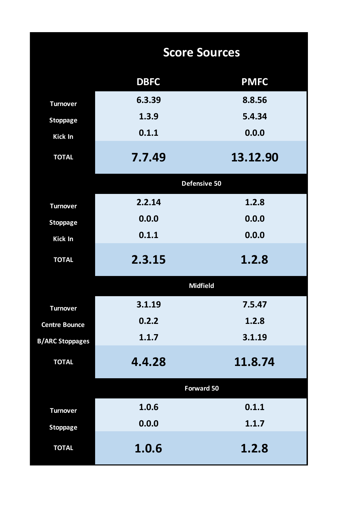|                        | <b>Score Sources</b> |                   |  |  |  |  |  |  |  |  |  |
|------------------------|----------------------|-------------------|--|--|--|--|--|--|--|--|--|
|                        | <b>DBFC</b>          | <b>PMFC</b>       |  |  |  |  |  |  |  |  |  |
| <b>Turnover</b>        | 6.3.39               | 8.8.56            |  |  |  |  |  |  |  |  |  |
| <b>Stoppage</b>        | 1.3.9                | 5.4.34            |  |  |  |  |  |  |  |  |  |
| Kick In                | 0.1.1                | 0.0.0             |  |  |  |  |  |  |  |  |  |
| <b>TOTAL</b>           | 7.7.49               | 13.12.90          |  |  |  |  |  |  |  |  |  |
|                        |                      | Defensive 50      |  |  |  |  |  |  |  |  |  |
| <b>Turnover</b>        | 2.2.14               | 1.2.8             |  |  |  |  |  |  |  |  |  |
| <b>Stoppage</b>        | 0.0.0                | 0.0.0             |  |  |  |  |  |  |  |  |  |
| <b>Kick In</b>         | 0.1.1                | 0.0.0             |  |  |  |  |  |  |  |  |  |
| <b>TOTAL</b>           | 2.3.15               | 1.2.8             |  |  |  |  |  |  |  |  |  |
|                        |                      | <b>Midfield</b>   |  |  |  |  |  |  |  |  |  |
| <b>Turnover</b>        | 3.1.19               | 7.5.47            |  |  |  |  |  |  |  |  |  |
| <b>Centre Bounce</b>   | 0.2.2                | 1.2.8             |  |  |  |  |  |  |  |  |  |
| <b>B/ARC Stoppages</b> | 1.1.7                | 3.1.19            |  |  |  |  |  |  |  |  |  |
| <b>TOTAL</b>           | 4.4.28               | 11.8.74           |  |  |  |  |  |  |  |  |  |
|                        |                      | <b>Forward 50</b> |  |  |  |  |  |  |  |  |  |
| <b>Turnover</b>        | 1.0.6                | 0.1.1             |  |  |  |  |  |  |  |  |  |
| <b>Stoppage</b>        | 0.0.0                | 1.1.7             |  |  |  |  |  |  |  |  |  |
| <b>TOTAL</b>           | 1.0.6                | 1.2.8             |  |  |  |  |  |  |  |  |  |